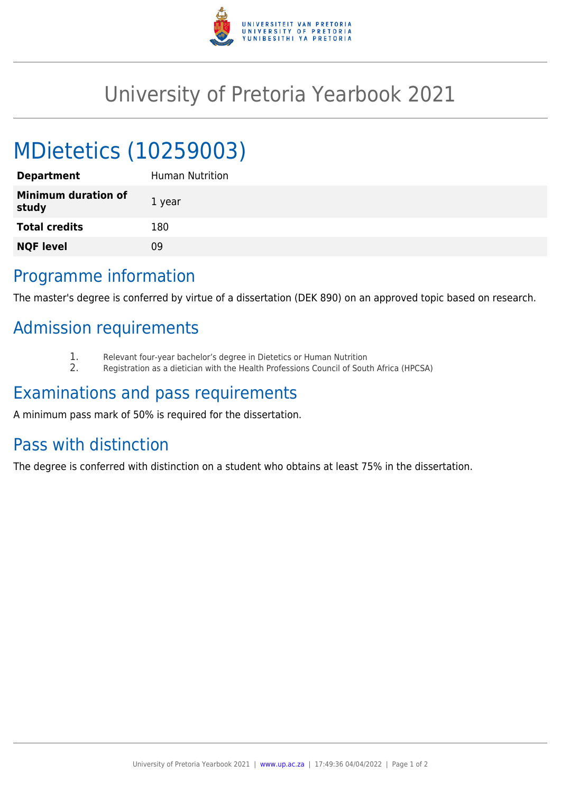

## University of Pretoria Yearbook 2021

# MDietetics (10259003)

| <b>Department</b>                   | Human Nutrition |
|-------------------------------------|-----------------|
| <b>Minimum duration of</b><br>study | 1 year          |
| <b>Total credits</b>                | 180             |
| <b>NQF level</b>                    | 09              |
|                                     |                 |

#### Programme information

The master's degree is conferred by virtue of a dissertation (DEK 890) on an approved topic based on research.

### Admission requirements

- 1. Relevant four-year bachelor's degree in Dietetics or Human Nutrition
- 2. Registration as a dietician with the Health Professions Council of South Africa (HPCSA)

#### Examinations and pass requirements

A minimum pass mark of 50% is required for the dissertation.

#### Pass with distinction

The degree is conferred with distinction on a student who obtains at least 75% in the dissertation.